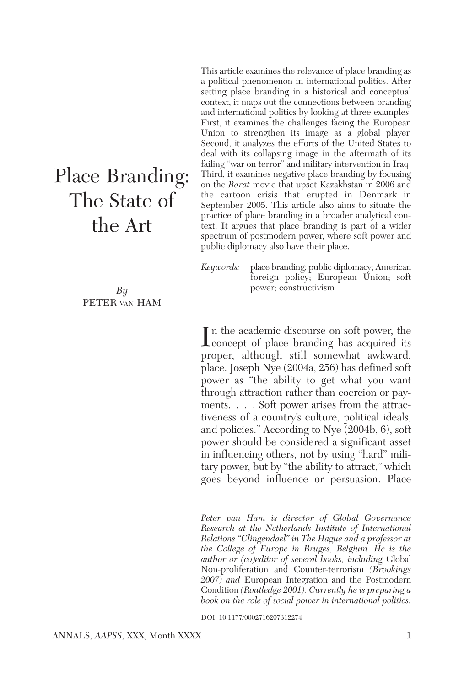# Place Branding: The State of the Art

*By* PETER VAN HAM This article examines the relevance of place branding as a political phenomenon in international politics. After setting place branding in a historical and conceptual context, it maps out the connections between branding and international politics by looking at three examples. First, it examines the challenges facing the European Union to strengthen its image as a global player. Second, it analyzes the efforts of the United States to deal with its collapsing image in the aftermath of its failing "war on terror" and military intervention in Iraq. Third, it examines negative place branding by focusing on the *Borat* movie that upset Kazakhstan in 2006 and the cartoon crisis that erupted in Denmark in September 2005. This article also aims to situate the practice of place branding in a broader analytical context. It argues that place branding is part of a wider spectrum of postmodern power, where soft power and public diplomacy also have their place.

*Keywords:* place branding; public diplomacy; American foreign policy; European Union; soft power; constructivism

In the academic discourse on soft power, the<br>concept of place branding has acquired its<br>manager although still accounts to submud concept of place branding has acquired its proper, although still somewhat awkward, place. Joseph Nye (2004a, 256) has defined soft power as "the ability to get what you want through attraction rather than coercion or payments. . . . Soft power arises from the attractiveness of a country's culture, political ideals, and policies." According to Nye (2004b, 6), soft power should be considered a significant asset in influencing others, not by using "hard" military power, but by "the ability to attract," which goes beyond influence or persuasion. Place

*Peter van Ham is director of Global Governance Research at the Netherlands Institute of International Relations "Clingendael" in The Hague and a professor at the College of Europe in Bruges, Belgium. He is the author or (co)editor of several books, including* Global Non-proliferation and Counter-terrorism *(Brookings 2007) and* European Integration and the Postmodern Condition *(Routledge 2001). Currently he is preparing a book on the role of social power in international politics.*

DOI: 10.1177/0002716207312274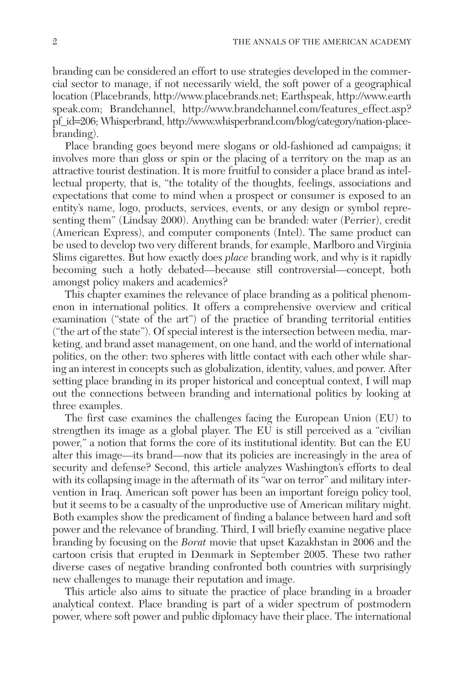branding can be considered an effort to use strategies developed in the commercial sector to manage, if not necessarily wield, the soft power of a geographical location (Placebrands, http://www.placebrands.net; Earthspeak, http://www.earth speak.com; Brandchannel, http://www.brandchannel.com/features\_effect.asp? pf\_id=206; Whisperbrand, http://www.whisperbrand.com/blog/category/nation-placebranding).

Place branding goes beyond mere slogans or old-fashioned ad campaigns; it involves more than gloss or spin or the placing of a territory on the map as an attractive tourist destination. It is more fruitful to consider a place brand as intellectual property, that is, "the totality of the thoughts, feelings, associations and expectations that come to mind when a prospect or consumer is exposed to an entity's name, logo, products, services, events, or any design or symbol representing them" (Lindsay 2000). Anything can be branded: water (Perrier), credit (American Express), and computer components (Intel). The same product can be used to develop two very different brands, for example, Marlboro and Virginia Slims cigarettes. But how exactly does *place* branding work, and why is it rapidly becoming such a hotly debated—because still controversial—concept, both amongst policy makers and academics?

This chapter examines the relevance of place branding as a political phenomenon in international politics. It offers a comprehensive overview and critical examination ("state of the art") of the practice of branding territorial entities ("the art of the state"). Of special interest is the intersection between media, marketing, and brand asset management, on one hand, and the world of international politics, on the other: two spheres with little contact with each other while sharing an interest in concepts such as globalization, identity, values, and power. After setting place branding in its proper historical and conceptual context, I will map out the connections between branding and international politics by looking at three examples.

The first case examines the challenges facing the European Union (EU) to strengthen its image as a global player. The EU is still perceived as a "civilian power," a notion that forms the core of its institutional identity. But can the EU alter this image—its brand—now that its policies are increasingly in the area of security and defense? Second, this article analyzes Washington's efforts to deal with its collapsing image in the aftermath of its "war on terror" and military intervention in Iraq. American soft power has been an important foreign policy tool, but it seems to be a casualty of the unproductive use of American military might. Both examples show the predicament of finding a balance between hard and soft power and the relevance of branding. Third, I will briefly examine negative place branding by focusing on the *Borat* movie that upset Kazakhstan in 2006 and the cartoon crisis that erupted in Denmark in September 2005. These two rather diverse cases of negative branding confronted both countries with surprisingly new challenges to manage their reputation and image.

This article also aims to situate the practice of place branding in a broader analytical context. Place branding is part of a wider spectrum of postmodern power, where soft power and public diplomacy have their place. The international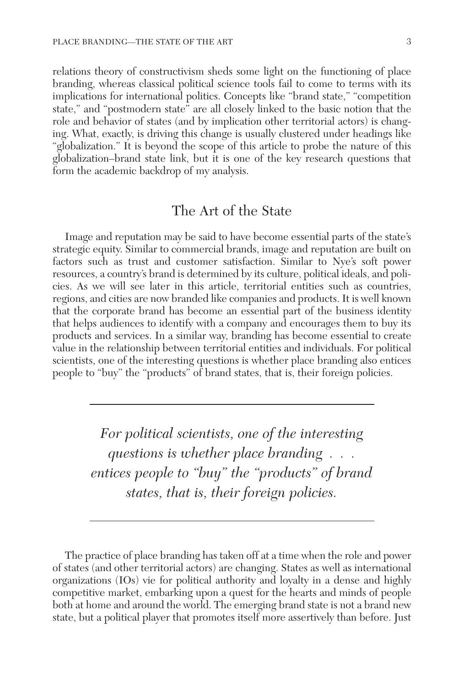relations theory of constructivism sheds some light on the functioning of place branding, whereas classical political science tools fail to come to terms with its implications for international politics. Concepts like "brand state," "competition state," and "postmodern state" are all closely linked to the basic notion that the role and behavior of states (and by implication other territorial actors) is changing. What, exactly, is driving this change is usually clustered under headings like "globalization." It is beyond the scope of this article to probe the nature of this globalization–brand state link, but it is one of the key research questions that form the academic backdrop of my analysis.

## The Art of the State

Image and reputation may be said to have become essential parts of the state's strategic equity. Similar to commercial brands, image and reputation are built on factors such as trust and customer satisfaction. Similar to Nye's soft power resources, a country's brand is determined by its culture, political ideals, and policies. As we will see later in this article, territorial entities such as countries, regions, and cities are now branded like companies and products. It is well known that the corporate brand has become an essential part of the business identity that helps audiences to identify with a company and encourages them to buy its products and services. In a similar way, branding has become essential to create value in the relationship between territorial entities and individuals. For political scientists, one of the interesting questions is whether place branding also entices people to "buy" the "products" of brand states, that is, their foreign policies.

> *For political scientists, one of the interesting questions is whether place branding... entices people to "buy" the "products" of brand states, that is, their foreign policies.*

The practice of place branding has taken off at a time when the role and power of states (and other territorial actors) are changing. States as well as international organizations (IOs) vie for political authority and loyalty in a dense and highly competitive market, embarking upon a quest for the hearts and minds of people both at home and around the world. The emerging brand state is not a brand new state, but a political player that promotes itself more assertively than before. Just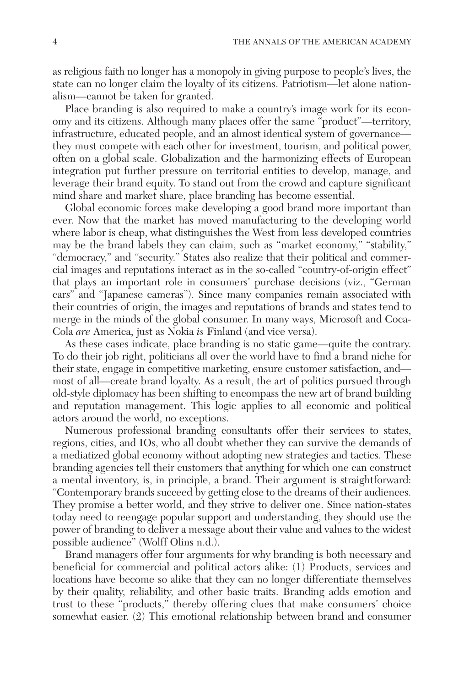as religious faith no longer has a monopoly in giving purpose to people's lives, the state can no longer claim the loyalty of its citizens. Patriotism—let alone nationalism—cannot be taken for granted.

Place branding is also required to make a country's image work for its economy and its citizens. Although many places offer the same "product"—territory, infrastructure, educated people, and an almost identical system of governance they must compete with each other for investment, tourism, and political power, often on a global scale. Globalization and the harmonizing effects of European integration put further pressure on territorial entities to develop, manage, and leverage their brand equity. To stand out from the crowd and capture significant mind share and market share, place branding has become essential.

Global economic forces make developing a good brand more important than ever. Now that the market has moved manufacturing to the developing world where labor is cheap, what distinguishes the West from less developed countries may be the brand labels they can claim, such as "market economy," "stability," "democracy," and "security." States also realize that their political and commercial images and reputations interact as in the so-called "country-of-origin effect" that plays an important role in consumers' purchase decisions (viz., "German cars" and "Japanese cameras"). Since many companies remain associated with their countries of origin, the images and reputations of brands and states tend to merge in the minds of the global consumer. In many ways, Microsoft and Coca-Cola *are* America, just as Nokia *is* Finland (and vice versa).

As these cases indicate, place branding is no static game—quite the contrary. To do their job right, politicians all over the world have to find a brand niche for their state, engage in competitive marketing, ensure customer satisfaction, and most of all—create brand loyalty. As a result, the art of politics pursued through old-style diplomacy has been shifting to encompass the new art of brand building and reputation management. This logic applies to all economic and political actors around the world, no exceptions.

Numerous professional branding consultants offer their services to states, regions, cities, and IOs, who all doubt whether they can survive the demands of a mediatized global economy without adopting new strategies and tactics. These branding agencies tell their customers that anything for which one can construct a mental inventory, is, in principle, a brand. Their argument is straightforward: "Contemporary brands succeed by getting close to the dreams of their audiences. They promise a better world, and they strive to deliver one. Since nation-states today need to reengage popular support and understanding, they should use the power of branding to deliver a message about their value and values to the widest possible audience" (Wolff Olins n.d.).

Brand managers offer four arguments for why branding is both necessary and beneficial for commercial and political actors alike: (1) Products, services and locations have become so alike that they can no longer differentiate themselves by their quality, reliability, and other basic traits. Branding adds emotion and trust to these "products," thereby offering clues that make consumers' choice somewhat easier. (2) This emotional relationship between brand and consumer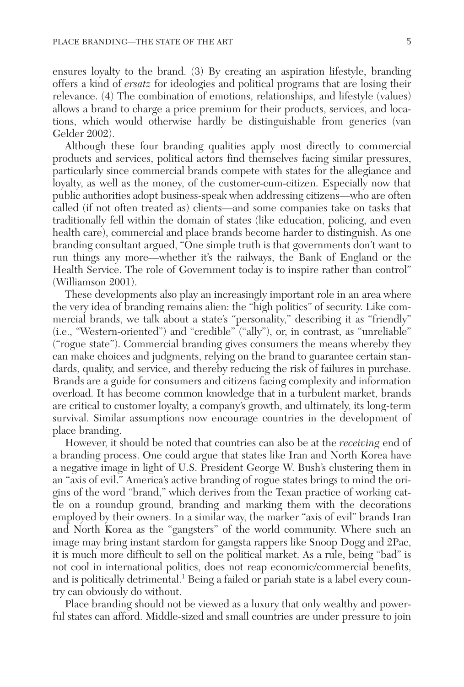ensures loyalty to the brand. (3) By creating an aspiration lifestyle, branding offers a kind of *ersatz* for ideologies and political programs that are losing their relevance. (4) The combination of emotions, relationships, and lifestyle (values) allows a brand to charge a price premium for their products, services, and locations, which would otherwise hardly be distinguishable from generics (van Gelder 2002).

Although these four branding qualities apply most directly to commercial products and services, political actors find themselves facing similar pressures, particularly since commercial brands compete with states for the allegiance and loyalty, as well as the money, of the customer-cum-citizen. Especially now that public authorities adopt business-speak when addressing citizens—who are often called (if not often treated as) clients—and some companies take on tasks that traditionally fell within the domain of states (like education, policing, and even health care), commercial and place brands become harder to distinguish. As one branding consultant argued, "One simple truth is that governments don't want to run things any more—whether it's the railways, the Bank of England or the Health Service. The role of Government today is to inspire rather than control" (Williamson 2001).

These developments also play an increasingly important role in an area where the very idea of branding remains alien: the "high politics" of security. Like commercial brands, we talk about a state's "personality," describing it as "friendly" (i.e., "Western-oriented") and "credible" ("ally"), or, in contrast, as "unreliable" ("rogue state"). Commercial branding gives consumers the means whereby they can make choices and judgments, relying on the brand to guarantee certain standards, quality, and service, and thereby reducing the risk of failures in purchase. Brands are a guide for consumers and citizens facing complexity and information overload. It has become common knowledge that in a turbulent market, brands are critical to customer loyalty, a company's growth, and ultimately, its long-term survival. Similar assumptions now encourage countries in the development of place branding.

However, it should be noted that countries can also be at the *receiving* end of a branding process. One could argue that states like Iran and North Korea have a negative image in light of U.S. President George W. Bush's clustering them in an "axis of evil." America's active branding of rogue states brings to mind the origins of the word "brand," which derives from the Texan practice of working cattle on a roundup ground, branding and marking them with the decorations employed by their owners. In a similar way, the marker "axis of evil" brands Iran and North Korea as the "gangsters" of the world community. Where such an image may bring instant stardom for gangsta rappers like Snoop Dogg and 2Pac, it is much more difficult to sell on the political market. As a rule, being "bad" is not cool in international politics, does not reap economic/commercial benefits, and is politically detrimental.<sup>1</sup> Being a failed or pariah state is a label every country can obviously do without.

Place branding should not be viewed as a luxury that only wealthy and powerful states can afford. Middle-sized and small countries are under pressure to join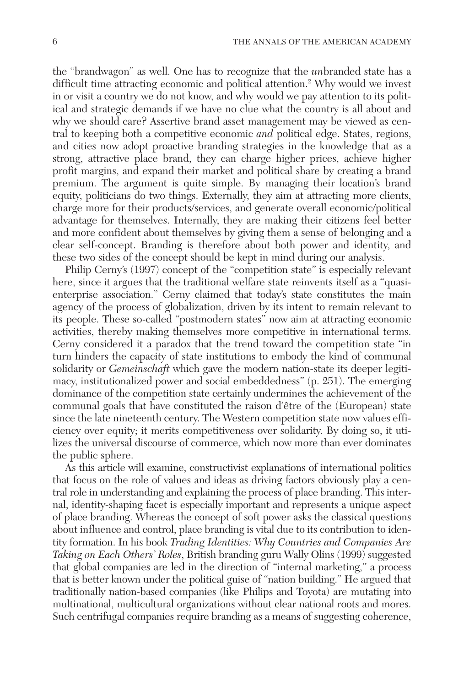the "brandwagon" as well. One has to recognize that the *un*branded state has a difficult time attracting economic and political attention.<sup>2</sup> Why would we invest in or visit a country we do not know, and why would we pay attention to its political and strategic demands if we have no clue what the country is all about and why we should care? Assertive brand asset management may be viewed as central to keeping both a competitive economic *and* political edge. States, regions, and cities now adopt proactive branding strategies in the knowledge that as a strong, attractive place brand, they can charge higher prices, achieve higher profit margins, and expand their market and political share by creating a brand premium. The argument is quite simple. By managing their location's brand equity, politicians do two things. Externally, they aim at attracting more clients, charge more for their products/services, and generate overall economic/political advantage for themselves. Internally, they are making their citizens feel better and more confident about themselves by giving them a sense of belonging and a clear self-concept. Branding is therefore about both power and identity, and these two sides of the concept should be kept in mind during our analysis.

Philip Cerny's (1997) concept of the "competition state" is especially relevant here, since it argues that the traditional welfare state reinvents itself as a "quasienterprise association." Cerny claimed that today's state constitutes the main agency of the process of globalization, driven by its intent to remain relevant to its people. These so-called "postmodern states" now aim at attracting economic activities, thereby making themselves more competitive in international terms. Cerny considered it a paradox that the trend toward the competition state "in turn hinders the capacity of state institutions to embody the kind of communal solidarity or *Gemeinschaft* which gave the modern nation-state its deeper legitimacy, institutionalized power and social embeddedness" (p. 251). The emerging dominance of the competition state certainly undermines the achievement of the communal goals that have constituted the raison d'être of the (European) state since the late nineteenth century. The Western competition state now values efficiency over equity; it merits competitiveness over solidarity. By doing so, it utilizes the universal discourse of commerce, which now more than ever dominates the public sphere.

As this article will examine, constructivist explanations of international politics that focus on the role of values and ideas as driving factors obviously play a central role in understanding and explaining the process of place branding. This internal, identity-shaping facet is especially important and represents a unique aspect of place branding. Whereas the concept of soft power asks the classical questions about influence and control, place branding is vital due to its contribution to identity formation. In his book *Trading Identities: Why Countries and Companies Are Taking on Each Others' Roles*, British branding guru Wally Olins (1999) suggested that global companies are led in the direction of "internal marketing," a process that is better known under the political guise of "nation building." He argued that traditionally nation-based companies (like Philips and Toyota) are mutating into multinational, multicultural organizations without clear national roots and mores. Such centrifugal companies require branding as a means of suggesting coherence,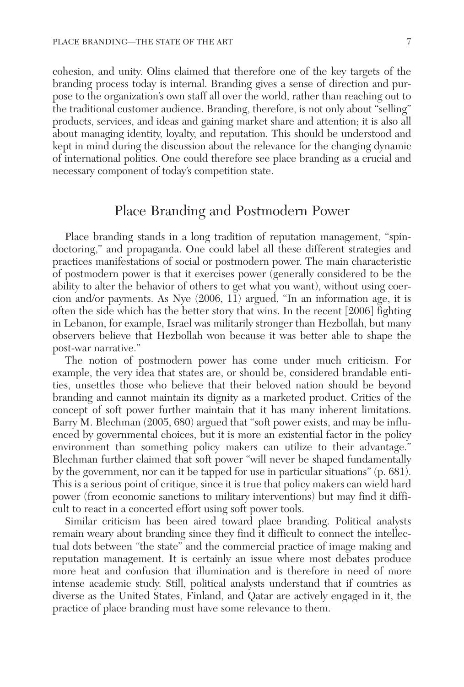cohesion, and unity. Olins claimed that therefore one of the key targets of the branding process today is internal. Branding gives a sense of direction and purpose to the organization's own staff all over the world, rather than reaching out to the traditional customer audience. Branding, therefore, is not only about "selling" products, services, and ideas and gaining market share and attention; it is also all about managing identity, loyalty, and reputation. This should be understood and kept in mind during the discussion about the relevance for the changing dynamic of international politics. One could therefore see place branding as a crucial and necessary component of today's competition state.

## Place Branding and Postmodern Power

Place branding stands in a long tradition of reputation management, "spindoctoring," and propaganda. One could label all these different strategies and practices manifestations of social or postmodern power. The main characteristic of postmodern power is that it exercises power (generally considered to be the ability to alter the behavior of others to get what you want), without using coercion and/or payments. As Nye (2006, 11) argued, "In an information age, it is often the side which has the better story that wins. In the recent [2006] fighting in Lebanon, for example, Israel was militarily stronger than Hezbollah, but many observers believe that Hezbollah won because it was better able to shape the post-war narrative."

The notion of postmodern power has come under much criticism. For example, the very idea that states are, or should be, considered brandable entities, unsettles those who believe that their beloved nation should be beyond branding and cannot maintain its dignity as a marketed product. Critics of the concept of soft power further maintain that it has many inherent limitations. Barry M. Blechman (2005, 680) argued that "soft power exists, and may be influenced by governmental choices, but it is more an existential factor in the policy environment than something policy makers can utilize to their advantage." Blechman further claimed that soft power "will never be shaped fundamentally by the government, nor can it be tapped for use in particular situations" (p. 681). This is a serious point of critique, since it is true that policy makers can wield hard power (from economic sanctions to military interventions) but may find it difficult to react in a concerted effort using soft power tools.

Similar criticism has been aired toward place branding. Political analysts remain weary about branding since they find it difficult to connect the intellectual dots between "the state" and the commercial practice of image making and reputation management. It is certainly an issue where most debates produce more heat and confusion that illumination and is therefore in need of more intense academic study. Still, political analysts understand that if countries as diverse as the United States, Finland, and Qatar are actively engaged in it, the practice of place branding must have some relevance to them.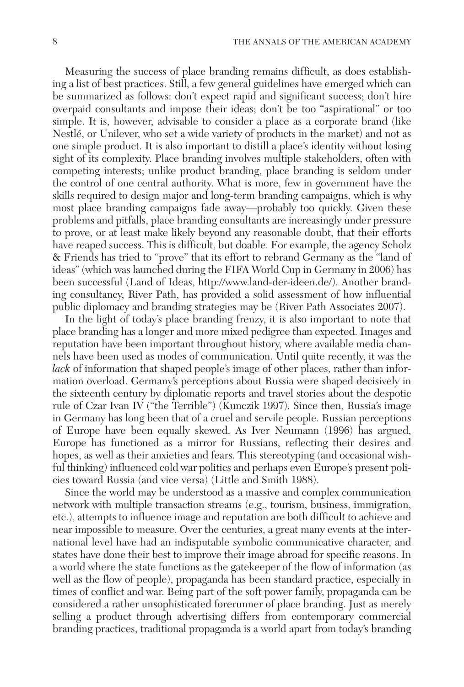Measuring the success of place branding remains difficult, as does establishing a list of best practices. Still, a few general guidelines have emerged which can be summarized as follows: don't expect rapid and significant success; don't hire overpaid consultants and impose their ideas; don't be too "aspirational" or too simple. It is, however, advisable to consider a place as a corporate brand (like Nestlé, or Unilever, who set a wide variety of products in the market) and not as one simple product. It is also important to distill a place's identity without losing sight of its complexity. Place branding involves multiple stakeholders, often with competing interests; unlike product branding, place branding is seldom under the control of one central authority. What is more, few in government have the skills required to design major and long-term branding campaigns, which is why most place branding campaigns fade away—probably too quickly. Given these problems and pitfalls, place branding consultants are increasingly under pressure to prove, or at least make likely beyond any reasonable doubt, that their efforts have reaped success. This is difficult, but doable. For example, the agency Scholz & Friends has tried to "prove" that its effort to rebrand Germany as the "land of ideas" (which was launched during the FIFA World Cup in Germany in 2006) has been successful (Land of Ideas, http://www.land-der-ideen.de/). Another branding consultancy, River Path, has provided a solid assessment of how influential public diplomacy and branding strategies may be (River Path Associates 2007).

In the light of today's place branding frenzy, it is also important to note that place branding has a longer and more mixed pedigree than expected. Images and reputation have been important throughout history, where available media channels have been used as modes of communication. Until quite recently, it was the *lack* of information that shaped people's image of other places, rather than information overload. Germany's perceptions about Russia were shaped decisively in the sixteenth century by diplomatic reports and travel stories about the despotic rule of Czar Ivan IV ("the Terrible") (Kunczik 1997). Since then, Russia's image in Germany has long been that of a cruel and servile people. Russian perceptions of Europe have been equally skewed. As Iver Neumann (1996) has argued, Europe has functioned as a mirror for Russians, reflecting their desires and hopes, as well as their anxieties and fears. This stereotyping (and occasional wishful thinking) influenced cold war politics and perhaps even Europe's present policies toward Russia (and vice versa) (Little and Smith 1988).

Since the world may be understood as a massive and complex communication network with multiple transaction streams (e.g., tourism, business, immigration, etc.), attempts to influence image and reputation are both difficult to achieve and near impossible to measure. Over the centuries, a great many events at the international level have had an indisputable symbolic communicative character, and states have done their best to improve their image abroad for specific reasons. In a world where the state functions as the gatekeeper of the flow of information (as well as the flow of people), propaganda has been standard practice, especially in times of conflict and war. Being part of the soft power family, propaganda can be considered a rather unsophisticated forerunner of place branding. Just as merely selling a product through advertising differs from contemporary commercial branding practices, traditional propaganda is a world apart from today's branding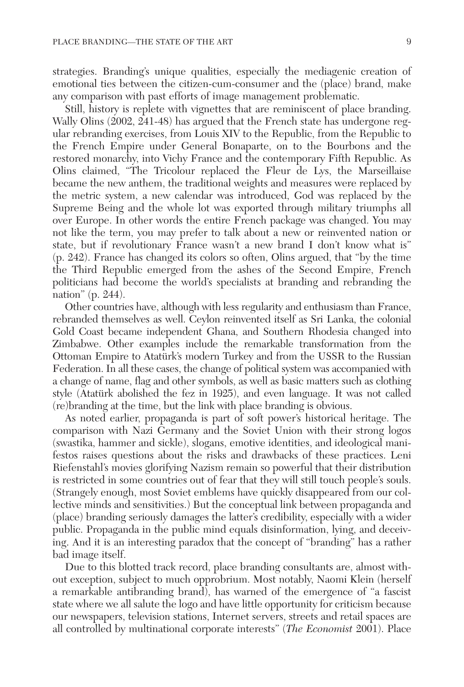strategies. Branding's unique qualities, especially the mediagenic creation of emotional ties between the citizen-cum-consumer and the (place) brand, make any comparison with past efforts of image management problematic.

Still, history is replete with vignettes that are reminiscent of place branding. Wally Olins (2002, 241-48) has argued that the French state has undergone regular rebranding exercises, from Louis XIV to the Republic, from the Republic to the French Empire under General Bonaparte, on to the Bourbons and the restored monarchy, into Vichy France and the contemporary Fifth Republic. As Olins claimed, "The Tricolour replaced the Fleur de Lys, the Marseillaise became the new anthem, the traditional weights and measures were replaced by the metric system, a new calendar was introduced, God was replaced by the Supreme Being and the whole lot was exported through military triumphs all over Europe. In other words the entire French package was changed. You may not like the term, you may prefer to talk about a new or reinvented nation or state, but if revolutionary France wasn't a new brand I don't know what is" (p. 242). France has changed its colors so often, Olins argued, that "by the time the Third Republic emerged from the ashes of the Second Empire, French politicians had become the world's specialists at branding and rebranding the nation" (p. 244).

Other countries have, although with less regularity and enthusiasm than France, rebranded themselves as well. Ceylon reinvented itself as Sri Lanka, the colonial Gold Coast became independent Ghana, and Southern Rhodesia changed into Zimbabwe. Other examples include the remarkable transformation from the Ottoman Empire to Atatürk's modern Turkey and from the USSR to the Russian Federation. In all these cases, the change of political system was accompanied with a change of name, flag and other symbols, as well as basic matters such as clothing style (Atatürk abolished the fez in 1925), and even language. It was not called (re)branding at the time, but the link with place branding is obvious.

As noted earlier, propaganda is part of soft power's historical heritage. The comparison with Nazi Germany and the Soviet Union with their strong logos (swastika, hammer and sickle), slogans, emotive identities, and ideological manifestos raises questions about the risks and drawbacks of these practices. Leni Riefenstahl's movies glorifying Nazism remain so powerful that their distribution is restricted in some countries out of fear that they will still touch people's souls. (Strangely enough, most Soviet emblems have quickly disappeared from our collective minds and sensitivities.) But the conceptual link between propaganda and (place) branding seriously damages the latter's credibility, especially with a wider public. Propaganda in the public mind equals disinformation, lying, and deceiving. And it is an interesting paradox that the concept of "branding" has a rather bad image itself.

Due to this blotted track record, place branding consultants are, almost without exception, subject to much opprobrium. Most notably, Naomi Klein (herself a remarkable antibranding brand), has warned of the emergence of "a fascist state where we all salute the logo and have little opportunity for criticism because our newspapers, television stations, Internet servers, streets and retail spaces are all controlled by multinational corporate interests" (*The Economist* 2001). Place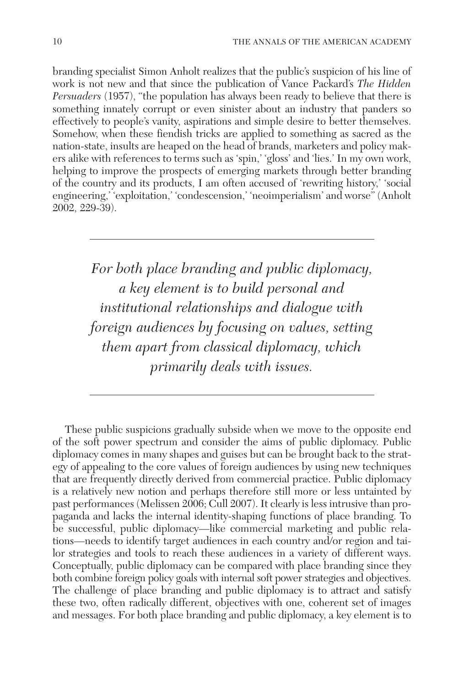branding specialist Simon Anholt realizes that the public's suspicion of his line of work is not new and that since the publication of Vance Packard's *The Hidden Persuaders* (1957), "the population has always been ready to believe that there is something innately corrupt or even sinister about an industry that panders so effectively to people's vanity, aspirations and simple desire to better themselves. Somehow, when these fiendish tricks are applied to something as sacred as the nation-state, insults are heaped on the head of brands, marketers and policy makers alike with references to terms such as 'spin,' 'gloss' and 'lies.' In my own work, helping to improve the prospects of emerging markets through better branding of the country and its products, I am often accused of 'rewriting history,' 'social engineering,' 'exploitation,' 'condescension,' 'neoimperialism' and worse" (Anholt 2002, 229-39).

*For both place branding and public diplomacy, a key element is to build personal and institutional relationships and dialogue with foreign audiences by focusing on values, setting them apart from classical diplomacy, which primarily deals with issues.*

These public suspicions gradually subside when we move to the opposite end of the soft power spectrum and consider the aims of public diplomacy. Public diplomacy comes in many shapes and guises but can be brought back to the strategy of appealing to the core values of foreign audiences by using new techniques that are frequently directly derived from commercial practice. Public diplomacy is a relatively new notion and perhaps therefore still more or less untainted by past performances (Melissen 2006; Cull 2007). It clearly is less intrusive than propaganda and lacks the internal identity-shaping functions of place branding. To be successful, public diplomacy—like commercial marketing and public relations—needs to identify target audiences in each country and/or region and tailor strategies and tools to reach these audiences in a variety of different ways. Conceptually, public diplomacy can be compared with place branding since they both combine foreign policy goals with internal soft power strategies and objectives. The challenge of place branding and public diplomacy is to attract and satisfy these two, often radically different, objectives with one, coherent set of images and messages. For both place branding and public diplomacy, a key element is to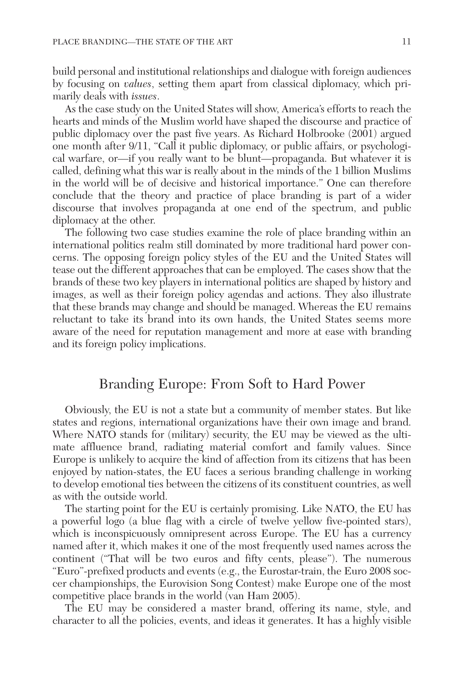build personal and institutional relationships and dialogue with foreign audiences by focusing on *values*, setting them apart from classical diplomacy, which primarily deals with *issues*.

As the case study on the United States will show, America's efforts to reach the hearts and minds of the Muslim world have shaped the discourse and practice of public diplomacy over the past five years. As Richard Holbrooke (2001) argued one month after 9/11, "Call it public diplomacy, or public affairs, or psychological warfare, or—if you really want to be blunt—propaganda. But whatever it is called, defining what this war is really about in the minds of the 1 billion Muslims in the world will be of decisive and historical importance." One can therefore conclude that the theory and practice of place branding is part of a wider discourse that involves propaganda at one end of the spectrum, and public diplomacy at the other.

The following two case studies examine the role of place branding within an international politics realm still dominated by more traditional hard power concerns. The opposing foreign policy styles of the EU and the United States will tease out the different approaches that can be employed. The cases show that the brands of these two key players in international politics are shaped by history and images, as well as their foreign policy agendas and actions. They also illustrate that these brands may change and should be managed. Whereas the EU remains reluctant to take its brand into its own hands, the United States seems more aware of the need for reputation management and more at ease with branding and its foreign policy implications.

## Branding Europe: From Soft to Hard Power

Obviously, the EU is not a state but a community of member states. But like states and regions, international organizations have their own image and brand. Where NATO stands for (military) security, the EU may be viewed as the ultimate affluence brand, radiating material comfort and family values. Since Europe is unlikely to acquire the kind of affection from its citizens that has been enjoyed by nation-states, the EU faces a serious branding challenge in working to develop emotional ties between the citizens of its constituent countries, as well as with the outside world.

The starting point for the EU is certainly promising. Like NATO, the EU has a powerful logo (a blue flag with a circle of twelve yellow five-pointed stars), which is inconspicuously omnipresent across Europe. The EU has a currency named after it, which makes it one of the most frequently used names across the continent ("That will be two euros and fifty cents, please"). The numerous "Euro"-prefixed products and events (e.g., the Eurostar-train, the Euro 2008 soccer championships, the Eurovision Song Contest) make Europe one of the most competitive place brands in the world (van Ham 2005).

The EU may be considered a master brand, offering its name, style, and character to all the policies, events, and ideas it generates. It has a highly visible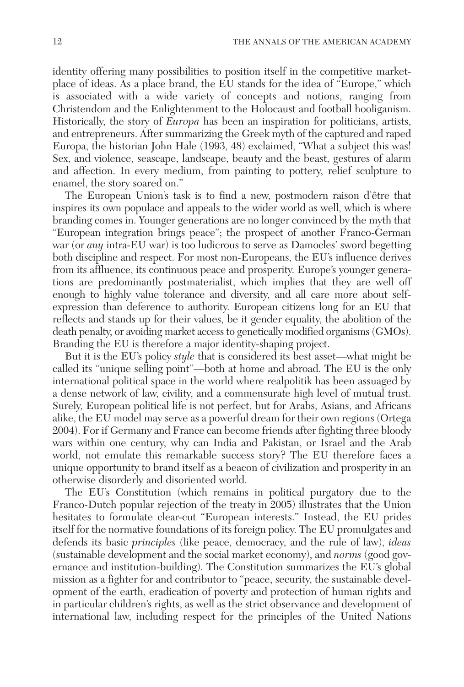identity offering many possibilities to position itself in the competitive marketplace of ideas. As a place brand, the EU stands for the idea of "Europe," which is associated with a wide variety of concepts and notions, ranging from Christendom and the Enlightenment to the Holocaust and football hooliganism. Historically, the story of *Europa* has been an inspiration for politicians, artists, and entrepreneurs. After summarizing the Greek myth of the captured and raped Europa, the historian John Hale (1993, 48) exclaimed, "What a subject this was! Sex, and violence, seascape, landscape, beauty and the beast, gestures of alarm and affection. In every medium, from painting to pottery, relief sculpture to enamel, the story soared on."

The European Union's task is to find a new, postmodern raison d'être that inspires its own populace and appeals to the wider world as well, which is where branding comes in. Younger generations are no longer convinced by the myth that "European integration brings peace"; the prospect of another Franco-German war (or *any* intra-EU war) is too ludicrous to serve as Damocles' sword begetting both discipline and respect. For most non-Europeans, the EU's influence derives from its affluence, its continuous peace and prosperity. Europe's younger generations are predominantly postmaterialist, which implies that they are well off enough to highly value tolerance and diversity, and all care more about selfexpression than deference to authority. European citizens long for an EU that reflects and stands up for their values, be it gender equality, the abolition of the death penalty, or avoiding market access to genetically modified organisms (GMOs). Branding the EU is therefore a major identity-shaping project.

But it is the EU's policy *style* that is considered its best asset—what might be called its "unique selling point"—both at home and abroad. The EU is the only international political space in the world where realpolitik has been assuaged by a dense network of law, civility, and a commensurate high level of mutual trust. Surely, European political life is not perfect, but for Arabs, Asians, and Africans alike, the EU model may serve as a powerful dream for their own regions (Ortega 2004). For if Germany and France can become friends after fighting three bloody wars within one century, why can India and Pakistan, or Israel and the Arab world, not emulate this remarkable success story? The EU therefore faces a unique opportunity to brand itself as a beacon of civilization and prosperity in an otherwise disorderly and disoriented world.

The EU's Constitution (which remains in political purgatory due to the Franco-Dutch popular rejection of the treaty in 2005) illustrates that the Union hesitates to formulate clear-cut "European interests." Instead, the EU prides itself for the normative foundations of its foreign policy. The EU promulgates and defends its basic *principles* (like peace, democracy, and the rule of law), *ideas* (sustainable development and the social market economy), and *norms* (good governance and institution-building). The Constitution summarizes the EU's global mission as a fighter for and contributor to "peace, security, the sustainable development of the earth, eradication of poverty and protection of human rights and in particular children's rights, as well as the strict observance and development of international law, including respect for the principles of the United Nations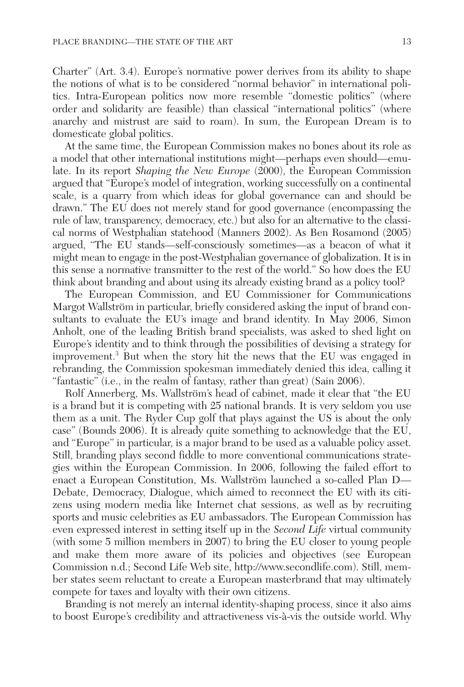Charter" (Art. 3.4). Europe's normative power derives from its ability to shape the notions of what is to be considered "normal behavior" in international politics. Intra-European politics now more resemble "domestic politics" (where order and solidarity are feasible) than classical "international politics" (where anarchy and mistrust are said to roam). In sum, the European Dream is to domesticate global politics.

At the same time, the European Commission makes no bones about its role as a model that other international institutions might—perhaps even should—emulate. In its report *Shaping the New Europe* (2000), the European Commission argued that "Europe's model of integration, working successfully on a continental scale, is a quarry from which ideas for global governance can and should be drawn." The EU does not merely stand for good governance (encompassing the rule of law, transparency, democracy, etc.) but also for an alternative to the classical norms of Westphalian statehood (Manners 2002). As Ben Rosamond (2005) argued, "The EU stands—self-consciously sometimes—as a beacon of what it might mean to engage in the post-Westphalian governance of globalization. It is in this sense a normative transmitter to the rest of the world." So how does the EU think about branding and about using its already existing brand as a policy tool?

The European Commission, and EU Commissioner for Communications Margot Wallström in particular, briefly considered asking the input of brand consultants to evaluate the EU's image and brand identity. In May 2006, Simon Anholt, one of the leading British brand specialists, was asked to shed light on Europe's identity and to think through the possibilities of devising a strategy for improvement.3 But when the story hit the news that the EU was engaged in rebranding, the Commission spokesman immediately denied this idea, calling it "fantastic" (i.e., in the realm of fantasy, rather than great) (Sain 2006).

Rolf Annerberg, Ms. Wallström's head of cabinet, made it clear that "the EU is a brand but it is competing with 25 national brands. It is very seldom you use them as a unit. The Ryder Cup golf that plays against the US is about the only case" (Bounds 2006). It is already quite something to acknowledge that the EU, and "Europe" in particular, is a major brand to be used as a valuable policy asset. Still, branding plays second fiddle to more conventional communications strategies within the European Commission. In 2006, following the failed effort to enact a European Constitution, Ms. Wallström launched a so-called Plan D— Debate, Democracy, Dialogue, which aimed to reconnect the EU with its citizens using modern media like Internet chat sessions, as well as by recruiting sports and music celebrities as EU ambassadors. The European Commission has even expressed interest in setting itself up in the *Second Life* virtual community (with some 5 million members in 2007) to bring the EU closer to young people and make them more aware of its policies and objectives (see European Commission n.d.; Second Life Web site, http://www.secondlife.com). Still, member states seem reluctant to create a European masterbrand that may ultimately compete for taxes and loyalty with their own citizens.

Branding is not merely an internal identity-shaping process, since it also aims to boost Europe's credibility and attractiveness vis-à-vis the outside world. Why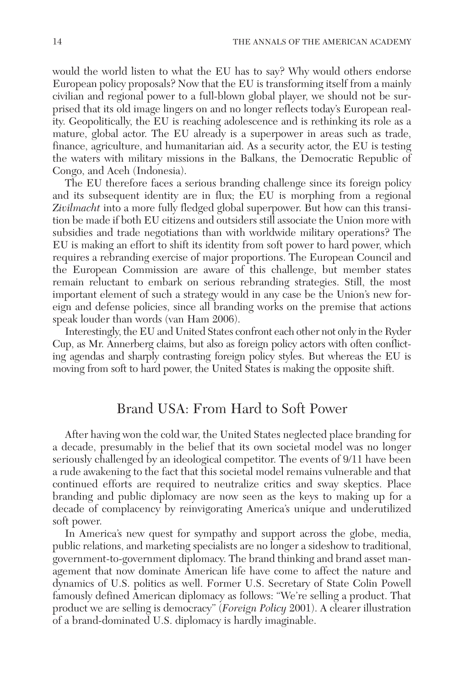would the world listen to what the EU has to say? Why would others endorse European policy proposals? Now that the EU is transforming itself from a mainly civilian and regional power to a full-blown global player, we should not be surprised that its old image lingers on and no longer reflects today's European reality. Geopolitically, the EU is reaching adolescence and is rethinking its role as a mature, global actor. The EU already is a superpower in areas such as trade, finance, agriculture, and humanitarian aid. As a security actor, the EU is testing the waters with military missions in the Balkans, the Democratic Republic of Congo, and Aceh (Indonesia).

The EU therefore faces a serious branding challenge since its foreign policy and its subsequent identity are in flux; the EU is morphing from a regional *Zivilmacht* into a more fully fledged global superpower. But how can this transition be made if both EU citizens and outsiders still associate the Union more with subsidies and trade negotiations than with worldwide military operations? The EU is making an effort to shift its identity from soft power to hard power, which requires a rebranding exercise of major proportions. The European Council and the European Commission are aware of this challenge, but member states remain reluctant to embark on serious rebranding strategies. Still, the most important element of such a strategy would in any case be the Union's new foreign and defense policies, since all branding works on the premise that actions speak louder than words (van Ham 2006).

Interestingly, the EU and United States confront each other not only in the Ryder Cup, as Mr. Annerberg claims, but also as foreign policy actors with often conflicting agendas and sharply contrasting foreign policy styles. But whereas the EU is moving from soft to hard power, the United States is making the opposite shift.

### Brand USA: From Hard to Soft Power

After having won the cold war, the United States neglected place branding for a decade, presumably in the belief that its own societal model was no longer seriously challenged by an ideological competitor. The events of 9/11 have been a rude awakening to the fact that this societal model remains vulnerable and that continued efforts are required to neutralize critics and sway skeptics. Place branding and public diplomacy are now seen as the keys to making up for a decade of complacency by reinvigorating America's unique and underutilized soft power.

In America's new quest for sympathy and support across the globe, media, public relations, and marketing specialists are no longer a sideshow to traditional, government-to-government diplomacy. The brand thinking and brand asset management that now dominate American life have come to affect the nature and dynamics of U.S. politics as well. Former U.S. Secretary of State Colin Powell famously defined American diplomacy as follows: "We're selling a product. That product we are selling is democracy" (*Foreign Policy* 2001). A clearer illustration of a brand-dominated U.S. diplomacy is hardly imaginable.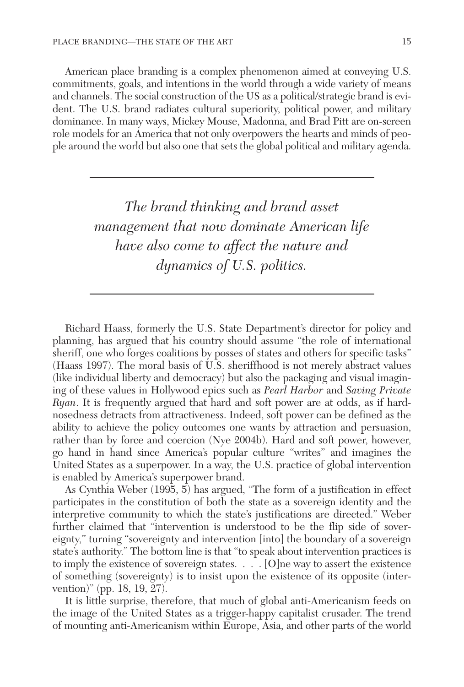American place branding is a complex phenomenon aimed at conveying U.S. commitments, goals, and intentions in the world through a wide variety of means and channels. The social construction of the US as a political/strategic brand is evident. The U.S. brand radiates cultural superiority, political power, and military dominance. In many ways, Mickey Mouse, Madonna, and Brad Pitt are on-screen role models for an America that not only overpowers the hearts and minds of people around the world but also one that sets the global political and military agenda.

> *The brand thinking and brand asset management that now dominate American life have also come to affect the nature and dynamics of U.S. politics.*

Richard Haass, formerly the U.S. State Department's director for policy and planning, has argued that his country should assume "the role of international sheriff, one who forges coalitions by posses of states and others for specific tasks" (Haass 1997). The moral basis of U.S. sheriffhood is not merely abstract values (like individual liberty and democracy) but also the packaging and visual imagining of these values in Hollywood epics such as *Pearl Harbor* and *Saving Private Ryan*. It is frequently argued that hard and soft power are at odds, as if hardnosedness detracts from attractiveness. Indeed, soft power can be defined as the ability to achieve the policy outcomes one wants by attraction and persuasion, rather than by force and coercion (Nye 2004b). Hard and soft power, however, go hand in hand since America's popular culture "writes" and imagines the United States as a superpower. In a way, the U.S. practice of global intervention is enabled by America's superpower brand.

As Cynthia Weber (1995, 5) has argued, "The form of a justification in effect participates in the constitution of both the state as a sovereign identity and the interpretive community to which the state's justifications are directed." Weber further claimed that "intervention is understood to be the flip side of sovereignty," turning "sovereignty and intervention [into] the boundary of a sovereign state's authority." The bottom line is that "to speak about intervention practices is to imply the existence of sovereign states. . . . [O]ne way to assert the existence of something (sovereignty) is to insist upon the existence of its opposite (intervention)" (pp. 18, 19, 27).

It is little surprise, therefore, that much of global anti-Americanism feeds on the image of the United States as a trigger-happy capitalist crusader. The trend of mounting anti-Americanism within Europe, Asia, and other parts of the world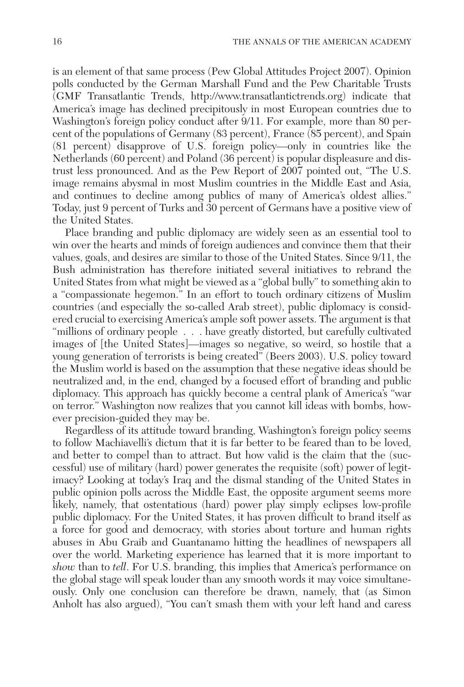is an element of that same process (Pew Global Attitudes Project 2007). Opinion polls conducted by the German Marshall Fund and the Pew Charitable Trusts (GMF Transatlantic Trends, http://www.transatlantictrends.org) indicate that America's image has declined precipitously in most European countries due to Washington's foreign policy conduct after 9/11. For example, more than 80 percent of the populations of Germany (83 percent), France (85 percent), and Spain (81 percent) disapprove of U.S. foreign policy—only in countries like the Netherlands (60 percent) and Poland (36 percent) is popular displeasure and distrust less pronounced. And as the Pew Report of 2007 pointed out, "The U.S. image remains abysmal in most Muslim countries in the Middle East and Asia, and continues to decline among publics of many of America's oldest allies." Today, just 9 percent of Turks and 30 percent of Germans have a positive view of the United States.

Place branding and public diplomacy are widely seen as an essential tool to win over the hearts and minds of foreign audiences and convince them that their values, goals, and desires are similar to those of the United States. Since 9/11, the Bush administration has therefore initiated several initiatives to rebrand the United States from what might be viewed as a "global bully" to something akin to a "compassionate hegemon." In an effort to touch ordinary citizens of Muslim countries (and especially the so-called Arab street), public diplomacy is considered crucial to exercising America's ample soft power assets. The argument is that "millions of ordinary people . . . have greatly distorted, but carefully cultivated images of [the United States]—images so negative, so weird, so hostile that a young generation of terrorists is being created" (Beers 2003). U.S. policy toward the Muslim world is based on the assumption that these negative ideas should be neutralized and, in the end, changed by a focused effort of branding and public diplomacy. This approach has quickly become a central plank of America's "war on terror." Washington now realizes that you cannot kill ideas with bombs, however precision-guided they may be.

Regardless of its attitude toward branding, Washington's foreign policy seems to follow Machiavelli's dictum that it is far better to be feared than to be loved, and better to compel than to attract. But how valid is the claim that the (successful) use of military (hard) power generates the requisite (soft) power of legitimacy? Looking at today's Iraq and the dismal standing of the United States in public opinion polls across the Middle East, the opposite argument seems more likely, namely, that ostentatious (hard) power play simply eclipses low-profile public diplomacy. For the United States, it has proven difficult to brand itself as a force for good and democracy, with stories about torture and human rights abuses in Abu Graib and Guantanamo hitting the headlines of newspapers all over the world. Marketing experience has learned that it is more important to *show* than to *tell*. For U.S. branding, this implies that America's performance on the global stage will speak louder than any smooth words it may voice simultaneously. Only one conclusion can therefore be drawn, namely, that (as Simon Anholt has also argued), "You can't smash them with your left hand and caress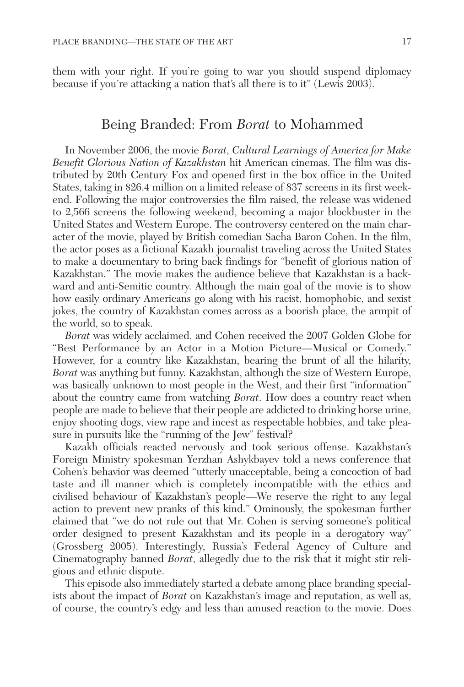them with your right. If you're going to war you should suspend diplomacy because if you're attacking a nation that's all there is to it" (Lewis 2003).

## Being Branded: From *Borat* to Mohammed

In November 2006, the movie *Borat, Cultural Learnings of America for Make Benefit Glorious Nation of Kazakhstan* hit American cinemas. The film was distributed by 20th Century Fox and opened first in the box office in the United States, taking in \$26.4 million on a limited release of 837 screens in its first weekend. Following the major controversies the film raised, the release was widened to 2,566 screens the following weekend, becoming a major blockbuster in the United States and Western Europe. The controversy centered on the main character of the movie, played by British comedian Sacha Baron Cohen. In the film, the actor poses as a fictional Kazakh journalist traveling across the United States to make a documentary to bring back findings for "benefit of glorious nation of Kazakhstan." The movie makes the audience believe that Kazakhstan is a backward and anti-Semitic country. Although the main goal of the movie is to show how easily ordinary Americans go along with his racist, homophobic, and sexist jokes, the country of Kazakhstan comes across as a boorish place, the armpit of the world, so to speak.

*Borat* was widely acclaimed, and Cohen received the 2007 Golden Globe for "Best Performance by an Actor in a Motion Picture—Musical or Comedy." However, for a country like Kazakhstan, bearing the brunt of all the hilarity, *Borat* was anything but funny. Kazakhstan, although the size of Western Europe, was basically unknown to most people in the West, and their first "information" about the country came from watching *Borat*. How does a country react when people are made to believe that their people are addicted to drinking horse urine, enjoy shooting dogs, view rape and incest as respectable hobbies, and take pleasure in pursuits like the "running of the Jew" festival?

Kazakh officials reacted nervously and took serious offense. Kazakhstan's Foreign Ministry spokesman Yerzhan Ashykbayev told a news conference that Cohen's behavior was deemed "utterly unacceptable, being a concoction of bad taste and ill manner which is completely incompatible with the ethics and civilised behaviour of Kazakhstan's people—We reserve the right to any legal action to prevent new pranks of this kind." Ominously, the spokesman further claimed that "we do not rule out that Mr. Cohen is serving someone's political order designed to present Kazakhstan and its people in a derogatory way" (Grossberg 2005). Interestingly, Russia's Federal Agency of Culture and Cinematography banned *Borat*, allegedly due to the risk that it might stir religious and ethnic dispute.

This episode also immediately started a debate among place branding specialists about the impact of *Borat* on Kazakhstan's image and reputation, as well as, of course, the country's edgy and less than amused reaction to the movie. Does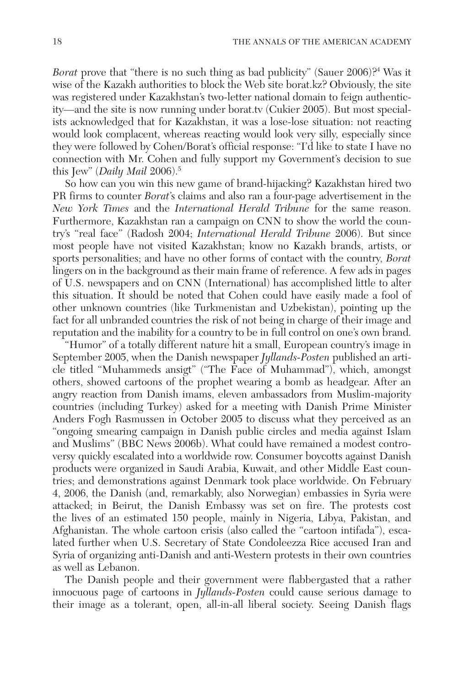*Borat* prove that "there is no such thing as bad publicity" (Sauer 2006)?<sup>4</sup> Was it wise of the Kazakh authorities to block the Web site borat.kz? Obviously, the site was registered under Kazakhstan's two-letter national domain to feign authenticity—and the site is now running under borat.tv (Cukier 2005). But most specialists acknowledged that for Kazakhstan, it was a lose-lose situation: not reacting would look complacent, whereas reacting would look very silly, especially since they were followed by Cohen/Borat's official response: "I'd like to state I have no connection with Mr. Cohen and fully support my Government's decision to sue this Jew" (*Daily Mail* 2006).5

So how can you win this new game of brand-hijacking? Kazakhstan hired two PR firms to counter *Borat*'s claims and also ran a four-page advertisement in the *New York Times* and the *International Herald Tribune* for the same reason. Furthermore, Kazakhstan ran a campaign on CNN to show the world the country's "real face" (Radosh 2004; *International Herald Tribune* 2006). But since most people have not visited Kazakhstan; know no Kazakh brands, artists, or sports personalities; and have no other forms of contact with the country, *Borat* lingers on in the background as their main frame of reference. A few ads in pages of U.S. newspapers and on CNN (International) has accomplished little to alter this situation. It should be noted that Cohen could have easily made a fool of other unknown countries (like Turkmenistan and Uzbekistan), pointing up the fact for all unbranded countries the risk of not being in charge of their image and reputation and the inability for a country to be in full control on one's own brand.

"Humor" of a totally different nature hit a small, European country's image in September 2005, when the Danish newspaper *Jyllands-Posten* published an article titled "Muhammeds ansigt" ("The Face of Muhammad"), which, amongst others, showed cartoons of the prophet wearing a bomb as headgear. After an angry reaction from Danish imams, eleven ambassadors from Muslim-majority countries (including Turkey) asked for a meeting with Danish Prime Minister Anders Fogh Rasmussen in October 2005 to discuss what they perceived as an "ongoing smearing campaign in Danish public circles and media against Islam and Muslims" (BBC News 2006b). What could have remained a modest controversy quickly escalated into a worldwide row. Consumer boycotts against Danish products were organized in Saudi Arabia, Kuwait, and other Middle East countries; and demonstrations against Denmark took place worldwide. On February 4, 2006, the Danish (and, remarkably, also Norwegian) embassies in Syria were attacked; in Beirut, the Danish Embassy was set on fire. The protests cost the lives of an estimated 150 people, mainly in Nigeria, Libya, Pakistan, and Afghanistan. The whole cartoon crisis (also called the "cartoon intifada"), escalated further when U.S. Secretary of State Condoleezza Rice accused Iran and Syria of organizing anti-Danish and anti-Western protests in their own countries as well as Lebanon.

The Danish people and their government were flabbergasted that a rather innocuous page of cartoons in *Jyllands-Posten* could cause serious damage to their image as a tolerant, open, all-in-all liberal society. Seeing Danish flags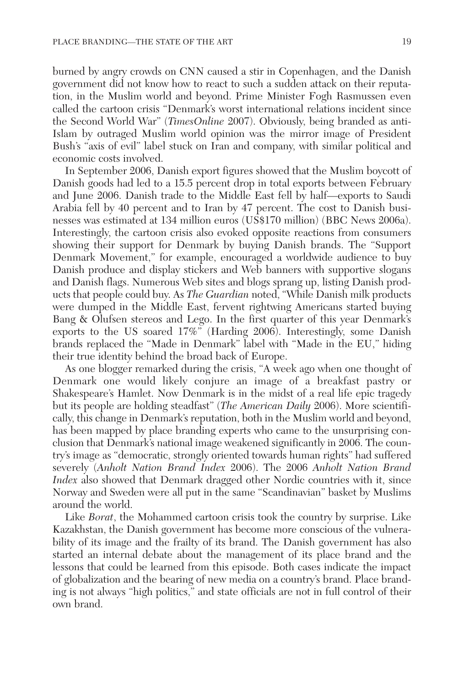burned by angry crowds on CNN caused a stir in Copenhagen, and the Danish government did not know how to react to such a sudden attack on their reputation, in the Muslim world and beyond. Prime Minister Fogh Rasmussen even called the cartoon crisis "Denmark's worst international relations incident since the Second World War" (*TimesOnline* 2007). Obviously, being branded as anti-Islam by outraged Muslim world opinion was the mirror image of President Bush's "axis of evil" label stuck on Iran and company, with similar political and economic costs involved.

In September 2006, Danish export figures showed that the Muslim boycott of Danish goods had led to a 15.5 percent drop in total exports between February and June 2006. Danish trade to the Middle East fell by half—exports to Saudi Arabia fell by 40 percent and to Iran by 47 percent. The cost to Danish businesses was estimated at 134 million euros (US\$170 million) (BBC News 2006a). Interestingly, the cartoon crisis also evoked opposite reactions from consumers showing their support for Denmark by buying Danish brands. The "Support Denmark Movement," for example, encouraged a worldwide audience to buy Danish produce and display stickers and Web banners with supportive slogans and Danish flags. Numerous Web sites and blogs sprang up, listing Danish products that people could buy. As *The Guardian* noted, "While Danish milk products were dumped in the Middle East, fervent rightwing Americans started buying Bang & Olufsen stereos and Lego. In the first quarter of this year Denmark's exports to the US soared 17%" (Harding 2006). Interestingly, some Danish brands replaced the "Made in Denmark" label with "Made in the EU," hiding their true identity behind the broad back of Europe.

As one blogger remarked during the crisis, "A week ago when one thought of Denmark one would likely conjure an image of a breakfast pastry or Shakespeare's Hamlet. Now Denmark is in the midst of a real life epic tragedy but its people are holding steadfast" (*The American Daily* 2006). More scientifically, this change in Denmark's reputation, both in the Muslim world and beyond, has been mapped by place branding experts who came to the unsurprising conclusion that Denmark's national image weakened significantly in 2006. The country's image as "democratic, strongly oriented towards human rights" had suffered severely (*Anholt Nation Brand Index* 2006). The 2006 *Anholt Nation Brand Index* also showed that Denmark dragged other Nordic countries with it, since Norway and Sweden were all put in the same "Scandinavian" basket by Muslims around the world.

Like *Borat*, the Mohammed cartoon crisis took the country by surprise. Like Kazakhstan, the Danish government has become more conscious of the vulnerability of its image and the frailty of its brand. The Danish government has also started an internal debate about the management of its place brand and the lessons that could be learned from this episode. Both cases indicate the impact of globalization and the bearing of new media on a country's brand. Place branding is not always "high politics," and state officials are not in full control of their own brand.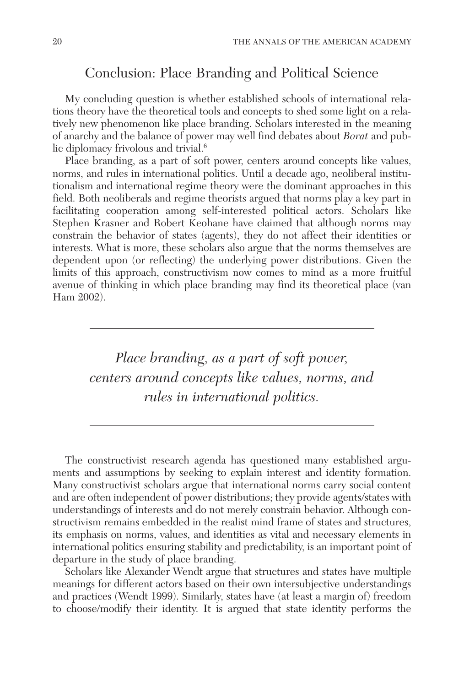## Conclusion: Place Branding and Political Science

My concluding question is whether established schools of international relations theory have the theoretical tools and concepts to shed some light on a relatively new phenomenon like place branding. Scholars interested in the meaning of anarchy and the balance of power may well find debates about *Borat* and public diplomacy frivolous and trivial.<sup>6</sup>

Place branding, as a part of soft power, centers around concepts like values, norms, and rules in international politics. Until a decade ago, neoliberal institutionalism and international regime theory were the dominant approaches in this field. Both neoliberals and regime theorists argued that norms play a key part in facilitating cooperation among self-interested political actors. Scholars like Stephen Krasner and Robert Keohane have claimed that although norms may constrain the behavior of states (agents), they do not affect their identities or interests. What is more, these scholars also argue that the norms themselves are dependent upon (or reflecting) the underlying power distributions. Given the limits of this approach, constructivism now comes to mind as a more fruitful avenue of thinking in which place branding may find its theoretical place (van Ham 2002).

> *Place branding, as a part of soft power, centers around concepts like values, norms, and rules in international politics.*

The constructivist research agenda has questioned many established arguments and assumptions by seeking to explain interest and identity formation. Many constructivist scholars argue that international norms carry social content and are often independent of power distributions; they provide agents/states with understandings of interests and do not merely constrain behavior. Although constructivism remains embedded in the realist mind frame of states and structures, its emphasis on norms, values, and identities as vital and necessary elements in international politics ensuring stability and predictability, is an important point of departure in the study of place branding.

Scholars like Alexander Wendt argue that structures and states have multiple meanings for different actors based on their own intersubjective understandings and practices (Wendt 1999). Similarly, states have (at least a margin of) freedom to choose/modify their identity. It is argued that state identity performs the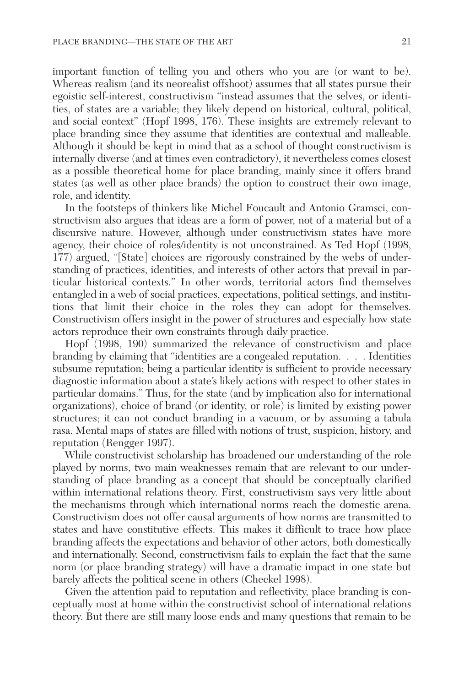important function of telling you and others who you are (or want to be). Whereas realism (and its neorealist offshoot) assumes that all states pursue their egoistic self-interest, constructivism "instead assumes that the selves, or identities, of states are a variable; they likely depend on historical, cultural, political, and social context" (Hopf 1998, 176). These insights are extremely relevant to place branding since they assume that identities are contextual and malleable. Although it should be kept in mind that as a school of thought constructivism is internally diverse (and at times even contradictory), it nevertheless comes closest as a possible theoretical home for place branding, mainly since it offers brand states (as well as other place brands) the option to construct their own image, role, and identity.

In the footsteps of thinkers like Michel Foucault and Antonio Gramsci, constructivism also argues that ideas are a form of power, not of a material but of a discursive nature. However, although under constructivism states have more agency, their choice of roles/identity is not unconstrained. As Ted Hopf (1998, 177) argued, "[State] choices are rigorously constrained by the webs of understanding of practices, identities, and interests of other actors that prevail in particular historical contexts." In other words, territorial actors find themselves entangled in a web of social practices, expectations, political settings, and institutions that limit their choice in the roles they can adopt for themselves. Constructivism offers insight in the power of structures and especially how state actors reproduce their own constraints through daily practice.

Hopf (1998, 190) summarized the relevance of constructivism and place branding by claiming that "identities are a congealed reputation. . . . Identities subsume reputation; being a particular identity is sufficient to provide necessary diagnostic information about a state's likely actions with respect to other states in particular domains." Thus, for the state (and by implication also for international organizations), choice of brand (or identity, or role) is limited by existing power structures; it can not conduct branding in a vacuum, or by assuming a tabula rasa. Mental maps of states are filled with notions of trust, suspicion, history, and reputation (Rengger 1997).

While constructivist scholarship has broadened our understanding of the role played by norms, two main weaknesses remain that are relevant to our understanding of place branding as a concept that should be conceptually clarified within international relations theory. First, constructivism says very little about the mechanisms through which international norms reach the domestic arena. Constructivism does not offer causal arguments of how norms are transmitted to states and have constitutive effects. This makes it difficult to trace how place branding affects the expectations and behavior of other actors, both domestically and internationally. Second, constructivism fails to explain the fact that the same norm (or place branding strategy) will have a dramatic impact in one state but barely affects the political scene in others (Checkel 1998).

Given the attention paid to reputation and reflectivity, place branding is conceptually most at home within the constructivist school of international relations theory. But there are still many loose ends and many questions that remain to be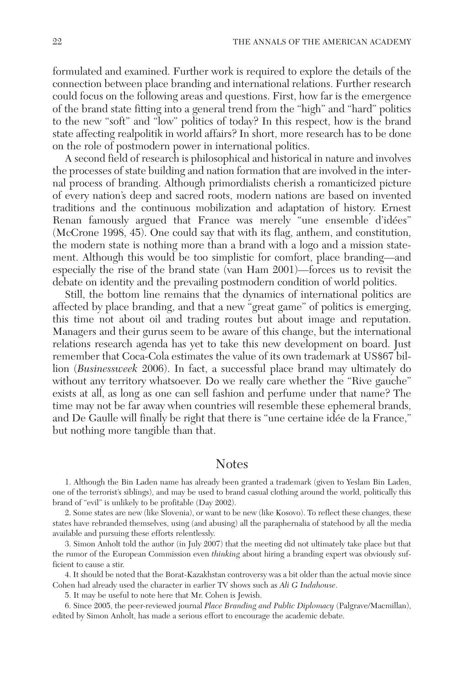formulated and examined. Further work is required to explore the details of the connection between place branding and international relations. Further research could focus on the following areas and questions. First, how far is the emergence of the brand state fitting into a general trend from the "high" and "hard" politics to the new "soft" and "low" politics of today? In this respect, how is the brand state affecting realpolitik in world affairs? In short, more research has to be done on the role of postmodern power in international politics.

A second field of research is philosophical and historical in nature and involves the processes of state building and nation formation that are involved in the internal process of branding. Although primordialists cherish a romanticized picture of every nation's deep and sacred roots, modern nations are based on invented traditions and the continuous mobilization and adaptation of history. Ernest Renan famously argued that France was merely "une ensemble d'idées" (McCrone 1998, 45). One could say that with its flag, anthem, and constitution, the modern state is nothing more than a brand with a logo and a mission statement. Although this would be too simplistic for comfort, place branding—and especially the rise of the brand state (van Ham 2001)—forces us to revisit the debate on identity and the prevailing postmodern condition of world politics.

Still, the bottom line remains that the dynamics of international politics are affected by place branding, and that a new "great game" of politics is emerging, this time not about oil and trading routes but about image and reputation. Managers and their gurus seem to be aware of this change, but the international relations research agenda has yet to take this new development on board. Just remember that Coca-Cola estimates the value of its own trademark at US\$67 billion (*Businessweek* 2006). In fact, a successful place brand may ultimately do without any territory whatsoever. Do we really care whether the "Rive gauche" exists at all, as long as one can sell fashion and perfume under that name? The time may not be far away when countries will resemble these ephemeral brands, and De Gaulle will finally be right that there is "une certaine idée de la France," but nothing more tangible than that.

#### Notes

1. Although the Bin Laden name has already been granted a trademark (given to Yeslam Bin Laden, one of the terrorist's siblings), and may be used to brand casual clothing around the world, politically this brand of "evil" is unlikely to be profitable (Day 2002).

2. Some states are new (like Slovenia), or want to be new (like Kosovo). To reflect these changes, these states have rebranded themselves, using (and abusing) all the paraphernalia of statehood by all the media available and pursuing these efforts relentlessly.

3. Simon Anholt told the author (in July 2007) that the meeting did not ultimately take place but that the rumor of the European Commission even *thinking* about hiring a branding expert was obviously sufficient to cause a stir.

4. It should be noted that the Borat-Kazakhstan controversy was a bit older than the actual movie since Cohen had already used the character in earlier TV shows such as *Ali G Indahouse*.

5. It may be useful to note here that Mr. Cohen is Jewish.

6. Since 2005, the peer-reviewed journal *Place Branding and Public Diplomacy* (Palgrave/Macmillan), edited by Simon Anholt, has made a serious effort to encourage the academic debate.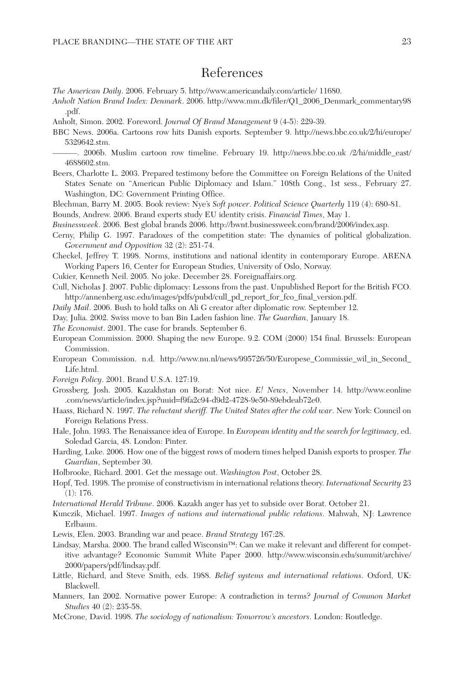## References

*The American Daily*. 2006. February 5. http://www.americandaily.com/article/ 11680.

- *Anholt Nation Brand Index: Denmark*. 2006. http://www.mm.dk/filer/Q1\_2006\_Denmark\_commentary98 .pdf.
- Anholt, Simon. 2002. Foreword. *Journal Of Brand Management* 9 (4-5): 229-39.
- BBC News. 2006a. Cartoons row hits Danish exports. September 9. http://news.bbc.co.uk/2/hi/europe/ 5329642.stm.
	- ———. 2006b. Muslim cartoon row timeline. February 19. http://news.bbc.co.uk /2/hi/middle\_east/ 4688602.stm.
- Beers, Charlotte L. 2003. Prepared testimony before the Committee on Foreign Relations of the United States Senate on "American Public Diplomacy and Islam." 108th Cong., 1st sess., February 27. Washington, DC: Government Printing Office.
- Blechman, Barry M. 2005. Book review: Nye's *Soft power*. *Political Science Quarterly* 119 (4): 680-81.
- Bounds, Andrew. 2006. Brand experts study EU identity crisis. *Financial Times*, May 1.
- *Businessweek*. 2006. Best global brands 2006. http://bwnt.businessweek.com/brand/2006/index.asp.
- Cerny, Philip G. 1997. Paradoxes of the competition state: The dynamics of political globalization. *Government and Opposition* 32 (2): 251-74.
- Checkel, Jeffrey T. 1998. Norms, institutions and national identity in contemporary Europe. ARENA Working Papers 16, Center for European Studies, University of Oslo, Norway.

Cukier, Kenneth Neil. 2005. No joke. December 28. Foreignaffairs.org.

- Cull, Nicholas J. 2007. Public diplomacy: Lessons from the past. Unpublished Report for the British FCO. http://annenberg.usc.edu/images/pdfs/pubd/cull\_pd\_report\_for\_fco\_final\_version.pdf.
- *Daily Mail*. 2006. Bush to hold talks on Ali G creator after diplomatic row. September 12.
- Day, Julia. 2002. Swiss move to ban Bin Laden fashion line. *The Guardian*, January 18.
- *The Economist*. 2001. The case for brands. September 6.
- European Commission. 2000. Shaping the new Europe. 9.2. COM (2000) 154 final. Brussels: European Commission.
- European Commission. n.d. http://www.nu.nl/news/995726/50/Europese\_Commissie\_wil\_in\_Second\_ Life.html.
- *Foreign Policy*. 2001. Brand U.S.A. 127:19.
- Grossberg, Josh. 2005. Kazakhstan on Borat: Not nice. *E! News*, November 14. http://www.eonline .com/news/article/index.jsp?uuid=f9fa2c94-d9d2-4728-9e50-89ebdeab72e0.
- Haass, Richard N. 1997. *The reluctant sheriff. The United States after the cold war*. New York: Council on Foreign Relations Press.
- Hale, John. 1993. The Renaissance idea of Europe. In *European identity and the search for legitimacy*, ed. Soledad Garcia, 48. London: Pinter.
- Harding, Luke. 2006. How one of the biggest rows of modern times helped Danish exports to prosper. *The Guardian*, September 30.
- Holbrooke, Richard. 2001. Get the message out. *Washington Post*, October 28.
- Hopf, Ted. 1998. The promise of constructivism in international relations theory. *International Security* 23 (1): 176.
- *International Herald Tribune*. 2006. Kazakh anger has yet to subside over Borat. October 21.
- Kunczik, Michael. 1997. *Images of nations and international public relations*. Mahwah, NJ: Lawrence Erlbaum.
- Lewis, Elen. 2003. Branding war and peace. *Brand Strategy* 167:28.
- Lindsay, Marsha. 2000. The brand called Wisconsin™: Can we make it relevant and different for competitive advantage? Economic Summit White Paper 2000. http://www.wisconsin.edu/summit/archive/ 2000/papers/pdf/lindsay.pdf.
- Little, Richard, and Steve Smith, eds. 1988. *Belief systems and international relations*. Oxford, UK: Blackwell.
- Manners, Ian 2002. Normative power Europe: A contradiction in terms? *Journal of Common Market Studies* 40 (2): 235-58.
- McCrone, David. 1998. *The sociology of nationalism: Tomorrow's ancestors*. London: Routledge.